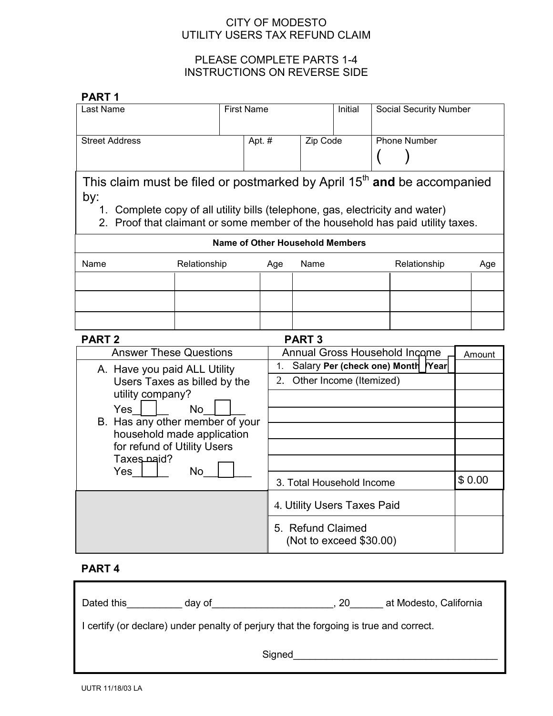## CITY OF MODESTO UTILITY USERS TAX REFUND CLAIM

# PLEASE COMPLETE PARTS 1-4 INSTRUCTIONS ON REVERSE SIDE

| <b>PART1</b>                                                                                                                                                    |              |        |                                                   |      |                             |  |                               |        |     |  |
|-----------------------------------------------------------------------------------------------------------------------------------------------------------------|--------------|--------|---------------------------------------------------|------|-----------------------------|--|-------------------------------|--------|-----|--|
| <b>First Name</b><br>Last Name                                                                                                                                  |              |        |                                                   |      | Initial                     |  | <b>Social Security Number</b> |        |     |  |
|                                                                                                                                                                 |              |        |                                                   |      |                             |  |                               |        |     |  |
| <b>Street Address</b>                                                                                                                                           |              | Apt. # |                                                   |      | Zip Code                    |  | <b>Phone Number</b>           |        |     |  |
|                                                                                                                                                                 |              |        |                                                   |      |                             |  |                               |        |     |  |
|                                                                                                                                                                 |              |        |                                                   |      |                             |  |                               |        |     |  |
| This claim must be filed or postmarked by April 15 <sup>th</sup> and be accompanied                                                                             |              |        |                                                   |      |                             |  |                               |        |     |  |
| by:                                                                                                                                                             |              |        |                                                   |      |                             |  |                               |        |     |  |
| 1. Complete copy of all utility bills (telephone, gas, electricity and water)<br>2. Proof that claimant or some member of the household has paid utility taxes. |              |        |                                                   |      |                             |  |                               |        |     |  |
| <b>Name of Other Household Members</b>                                                                                                                          |              |        |                                                   |      |                             |  |                               |        |     |  |
|                                                                                                                                                                 |              |        |                                                   |      |                             |  |                               |        |     |  |
| Name                                                                                                                                                            | Relationship |        | Age                                               | Name |                             |  | Relationship                  |        | Age |  |
|                                                                                                                                                                 |              |        |                                                   |      |                             |  |                               |        |     |  |
|                                                                                                                                                                 |              |        |                                                   |      |                             |  |                               |        |     |  |
|                                                                                                                                                                 |              |        |                                                   |      |                             |  |                               |        |     |  |
| <b>PART 2</b><br><b>PART3</b>                                                                                                                                   |              |        |                                                   |      |                             |  |                               |        |     |  |
| <b>Answer These Questions</b><br>Annual Gross Household Income                                                                                                  |              |        |                                                   |      |                             |  |                               | Amount |     |  |
| A. Have you paid ALL Utility<br>Users Taxes as billed by the                                                                                                    |              |        | Salary Per (check one) Month<br><b>Year</b><br>1. |      |                             |  |                               |        |     |  |
|                                                                                                                                                                 |              |        | 2. Other Income (Itemized)                        |      |                             |  |                               |        |     |  |
| utility company?                                                                                                                                                |              |        |                                                   |      |                             |  |                               |        |     |  |
| Yes<br><b>No</b><br>B. Has any other member of your<br>household made application<br>for refund of Utility Users                                                |              |        |                                                   |      |                             |  |                               |        |     |  |
|                                                                                                                                                                 |              |        |                                                   |      |                             |  |                               |        |     |  |
|                                                                                                                                                                 |              |        |                                                   |      |                             |  |                               |        |     |  |
| Taxes naid?                                                                                                                                                     |              |        |                                                   |      |                             |  |                               |        |     |  |
| No<br>$Yes$                                                                                                                                                     |              |        | 3. Total Household Income                         |      |                             |  |                               | \$0.00 |     |  |
|                                                                                                                                                                 |              |        |                                                   |      | 4. Utility Users Taxes Paid |  |                               |        |     |  |
|                                                                                                                                                                 |              |        |                                                   |      |                             |  |                               |        |     |  |
|                                                                                                                                                                 |              |        | 5. Refund Claimed<br>(Not to exceed \$30.00)      |      |                             |  |                               |        |     |  |
|                                                                                                                                                                 |              |        |                                                   |      |                             |  |                               |        |     |  |

# **PART 4**

| Dated this                                                                             | day of | 20 | at Modesto, California |  |  |  |  |  |
|----------------------------------------------------------------------------------------|--------|----|------------------------|--|--|--|--|--|
| I certify (or declare) under penalty of perjury that the forgoing is true and correct. |        |    |                        |  |  |  |  |  |
| Signed                                                                                 |        |    |                        |  |  |  |  |  |